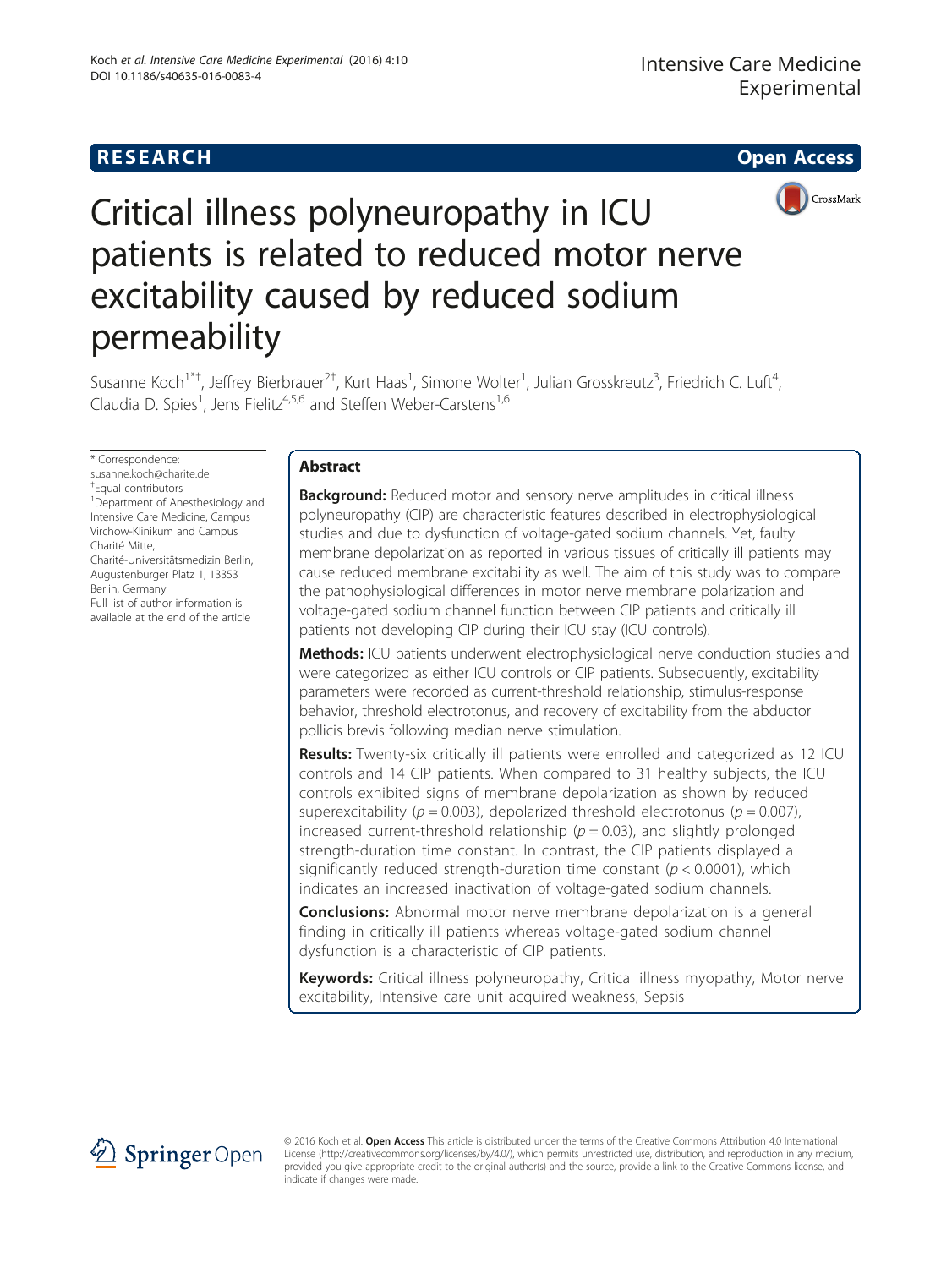## **RESEARCH CHE Open Access**



# Critical illness polyneuropathy in ICU patients is related to reduced motor nerve excitability caused by reduced sodium permeability

Susanne Koch<sup>1\*†</sup>, Jeffrey Bierbrauer<sup>2†</sup>, Kurt Haas<sup>1</sup>, Simone Wolter<sup>1</sup>, Julian Grosskreutz<sup>3</sup>, Friedrich C. Luft<sup>4</sup> , Claudia D. Spies<sup>1</sup>, Jens Fielitz<sup>4,5,6</sup> and Steffen Weber-Carstens<sup>1,6</sup>

\* Correspondence:

[susanne.koch@charite.de](mailto:susanne.koch@charite.de)

† Equal contributors <sup>1</sup>Department of Anesthesiology and Intensive Care Medicine, Campus Virchow-Klinikum and Campus Charité Mitte, Charité-Universitätsmedizin Berlin, Augustenburger Platz 1, 13353 Berlin, Germany

Full list of author information is available at the end of the article

## Abstract

**Background:** Reduced motor and sensory nerve amplitudes in critical illness polyneuropathy (CIP) are characteristic features described in electrophysiological studies and due to dysfunction of voltage-gated sodium channels. Yet, faulty membrane depolarization as reported in various tissues of critically ill patients may cause reduced membrane excitability as well. The aim of this study was to compare the pathophysiological differences in motor nerve membrane polarization and voltage-gated sodium channel function between CIP patients and critically ill patients not developing CIP during their ICU stay (ICU controls).

**Methods:** ICU patients underwent electrophysiological nerve conduction studies and were categorized as either ICU controls or CIP patients. Subsequently, excitability parameters were recorded as current-threshold relationship, stimulus-response behavior, threshold electrotonus, and recovery of excitability from the abductor pollicis brevis following median nerve stimulation.

Results: Twenty-six critically ill patients were enrolled and categorized as 12 ICU controls and 14 CIP patients. When compared to 31 healthy subjects, the ICU controls exhibited signs of membrane depolarization as shown by reduced superexcitability ( $p = 0.003$ ), depolarized threshold electrotonus ( $p = 0.007$ ), increased current-threshold relationship ( $p = 0.03$ ), and slightly prolonged strength-duration time constant. In contrast, the CIP patients displayed a significantly reduced strength-duration time constant ( $p < 0.0001$ ), which indicates an increased inactivation of voltage-gated sodium channels.

**Conclusions:** Abnormal motor nerve membrane depolarization is a general finding in critically ill patients whereas voltage-gated sodium channel dysfunction is a characteristic of CIP patients.

Keywords: Critical illness polyneuropathy, Critical illness myopathy, Motor nerve excitability, Intensive care unit acquired weakness, Sepsis



© 2016 Koch et al. Open Access This article is distributed under the terms of the Creative Commons Attribution 4.0 International License [\(http://creativecommons.org/licenses/by/4.0/](http://creativecommons.org/licenses/by/4.0/)), which permits unrestricted use, distribution, and reproduction in any medium, provided you give appropriate credit to the original author(s) and the source, provide a link to the Creative Commons license, and indicate if changes were made.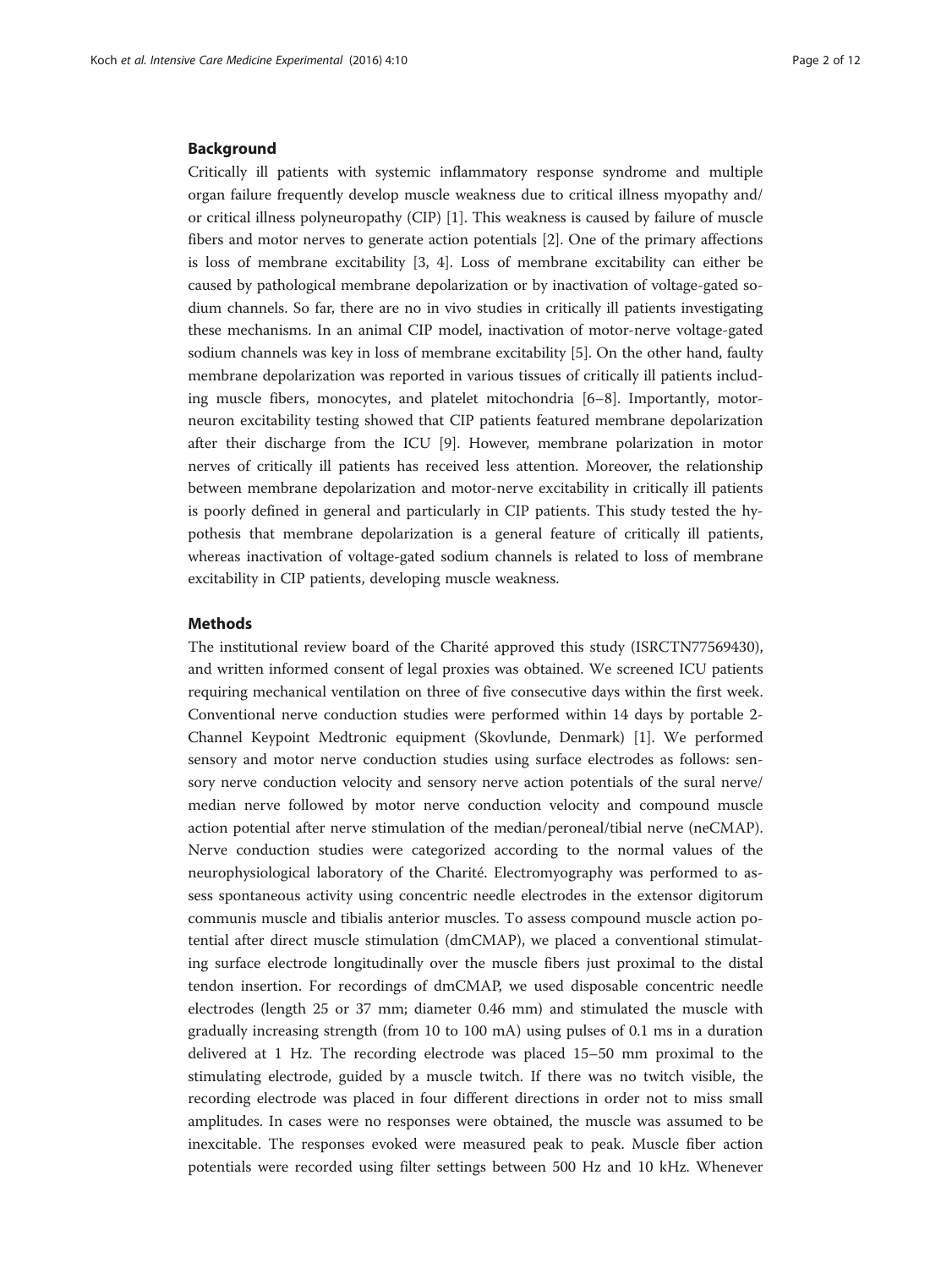#### Background

Critically ill patients with systemic inflammatory response syndrome and multiple organ failure frequently develop muscle weakness due to critical illness myopathy and/ or critical illness polyneuropathy (CIP) [\[1](#page-10-0)]. This weakness is caused by failure of muscle fibers and motor nerves to generate action potentials [\[2](#page-10-0)]. One of the primary affections is loss of membrane excitability [[3, 4](#page-10-0)]. Loss of membrane excitability can either be caused by pathological membrane depolarization or by inactivation of voltage-gated sodium channels. So far, there are no in vivo studies in critically ill patients investigating these mechanisms. In an animal CIP model, inactivation of motor-nerve voltage-gated sodium channels was key in loss of membrane excitability [\[5](#page-10-0)]. On the other hand, faulty membrane depolarization was reported in various tissues of critically ill patients including muscle fibers, monocytes, and platelet mitochondria [\[6](#page-10-0)–[8](#page-10-0)]. Importantly, motorneuron excitability testing showed that CIP patients featured membrane depolarization after their discharge from the ICU [[9\]](#page-10-0). However, membrane polarization in motor nerves of critically ill patients has received less attention. Moreover, the relationship between membrane depolarization and motor-nerve excitability in critically ill patients is poorly defined in general and particularly in CIP patients. This study tested the hypothesis that membrane depolarization is a general feature of critically ill patients, whereas inactivation of voltage-gated sodium channels is related to loss of membrane excitability in CIP patients, developing muscle weakness.

## Methods

The institutional review board of the Charité approved this study (ISRCTN77569430), and written informed consent of legal proxies was obtained. We screened ICU patients requiring mechanical ventilation on three of five consecutive days within the first week. Conventional nerve conduction studies were performed within 14 days by portable 2- Channel Keypoint Medtronic equipment (Skovlunde, Denmark) [[1\]](#page-10-0). We performed sensory and motor nerve conduction studies using surface electrodes as follows: sensory nerve conduction velocity and sensory nerve action potentials of the sural nerve/ median nerve followed by motor nerve conduction velocity and compound muscle action potential after nerve stimulation of the median/peroneal/tibial nerve (neCMAP). Nerve conduction studies were categorized according to the normal values of the neurophysiological laboratory of the Charité. Electromyography was performed to assess spontaneous activity using concentric needle electrodes in the extensor digitorum communis muscle and tibialis anterior muscles. To assess compound muscle action potential after direct muscle stimulation (dmCMAP), we placed a conventional stimulating surface electrode longitudinally over the muscle fibers just proximal to the distal tendon insertion. For recordings of dmCMAP, we used disposable concentric needle electrodes (length 25 or 37 mm; diameter 0.46 mm) and stimulated the muscle with gradually increasing strength (from 10 to 100 mA) using pulses of 0.1 ms in a duration delivered at 1 Hz. The recording electrode was placed 15–50 mm proximal to the stimulating electrode, guided by a muscle twitch. If there was no twitch visible, the recording electrode was placed in four different directions in order not to miss small amplitudes. In cases were no responses were obtained, the muscle was assumed to be inexcitable. The responses evoked were measured peak to peak. Muscle fiber action potentials were recorded using filter settings between 500 Hz and 10 kHz. Whenever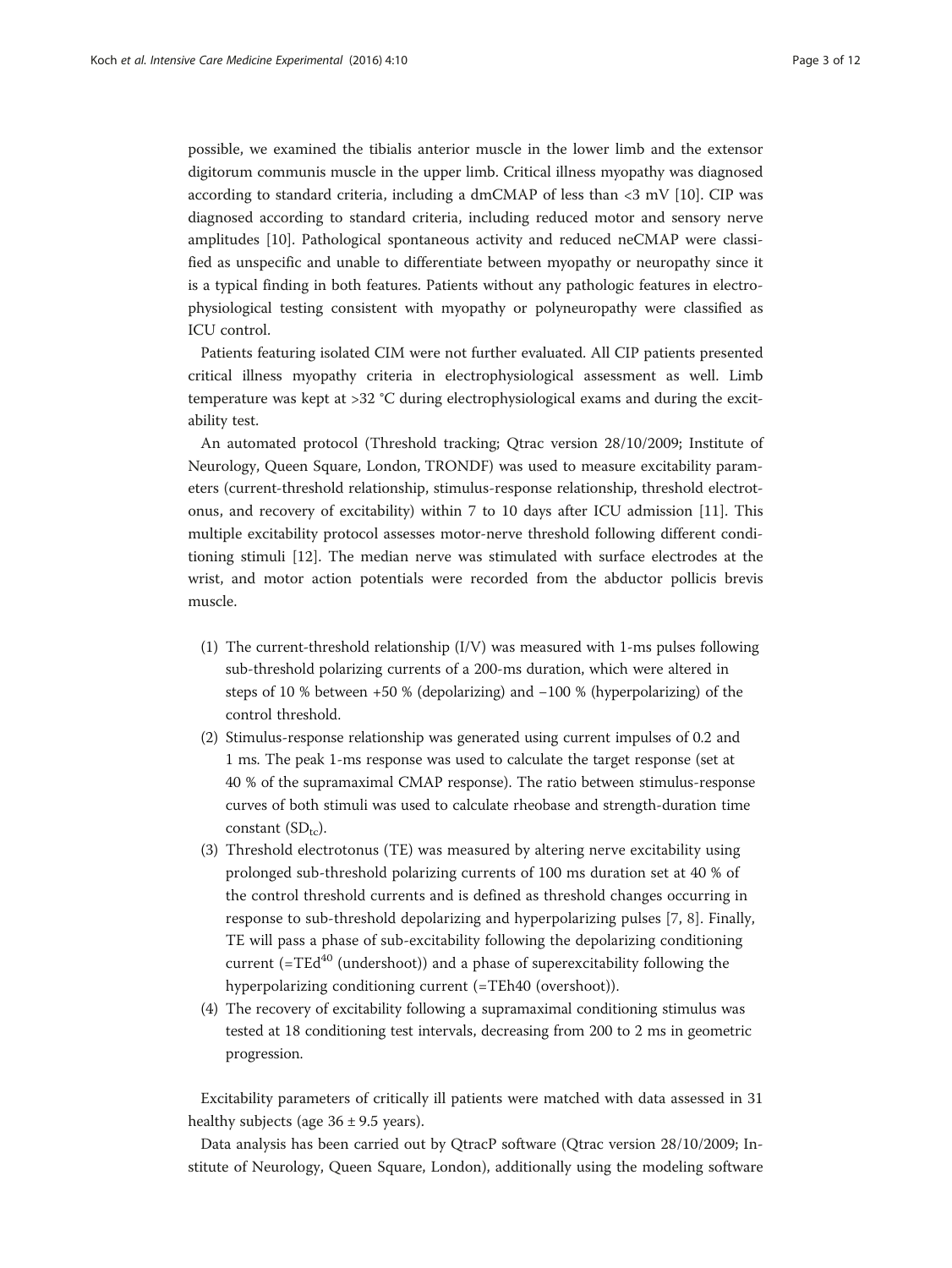possible, we examined the tibialis anterior muscle in the lower limb and the extensor digitorum communis muscle in the upper limb. Critical illness myopathy was diagnosed according to standard criteria, including a dmCMAP of less than <3 mV [\[10](#page-10-0)]. CIP was diagnosed according to standard criteria, including reduced motor and sensory nerve amplitudes [[10](#page-10-0)]. Pathological spontaneous activity and reduced neCMAP were classified as unspecific and unable to differentiate between myopathy or neuropathy since it is a typical finding in both features. Patients without any pathologic features in electrophysiological testing consistent with myopathy or polyneuropathy were classified as ICU control.

Patients featuring isolated CIM were not further evaluated. All CIP patients presented critical illness myopathy criteria in electrophysiological assessment as well. Limb temperature was kept at >32 °C during electrophysiological exams and during the excitability test.

An automated protocol (Threshold tracking; Qtrac version 28/10/2009; Institute of Neurology, Queen Square, London, TRONDF) was used to measure excitability parameters (current-threshold relationship, stimulus-response relationship, threshold electrotonus, and recovery of excitability) within 7 to 10 days after ICU admission [[11](#page-10-0)]. This multiple excitability protocol assesses motor-nerve threshold following different conditioning stimuli [\[12\]](#page-10-0). The median nerve was stimulated with surface electrodes at the wrist, and motor action potentials were recorded from the abductor pollicis brevis muscle.

- (1) The current-threshold relationship (I/V) was measured with 1-ms pulses following sub-threshold polarizing currents of a 200-ms duration, which were altered in steps of 10 % between +50 % (depolarizing) and −100 % (hyperpolarizing) of the control threshold.
- (2) Stimulus-response relationship was generated using current impulses of 0.2 and 1 ms. The peak 1-ms response was used to calculate the target response (set at 40 % of the supramaximal CMAP response). The ratio between stimulus-response curves of both stimuli was used to calculate rheobase and strength-duration time constant  $(SD_{tc})$ .
- (3) Threshold electrotonus (TE) was measured by altering nerve excitability using prolonged sub-threshold polarizing currents of 100 ms duration set at 40 % of the control threshold currents and is defined as threshold changes occurring in response to sub-threshold depolarizing and hyperpolarizing pulses [[7,](#page-10-0) [8\]](#page-10-0). Finally, TE will pass a phase of sub-excitability following the depolarizing conditioning current ( $=TEd^{40}$  (undershoot)) and a phase of superexcitability following the hyperpolarizing conditioning current (=TEh40 (overshoot)).
- (4) The recovery of excitability following a supramaximal conditioning stimulus was tested at 18 conditioning test intervals, decreasing from 200 to 2 ms in geometric progression.

Excitability parameters of critically ill patients were matched with data assessed in 31 healthy subjects (age  $36 \pm 9.5$  years).

Data analysis has been carried out by QtracP software (Qtrac version 28/10/2009; Institute of Neurology, Queen Square, London), additionally using the modeling software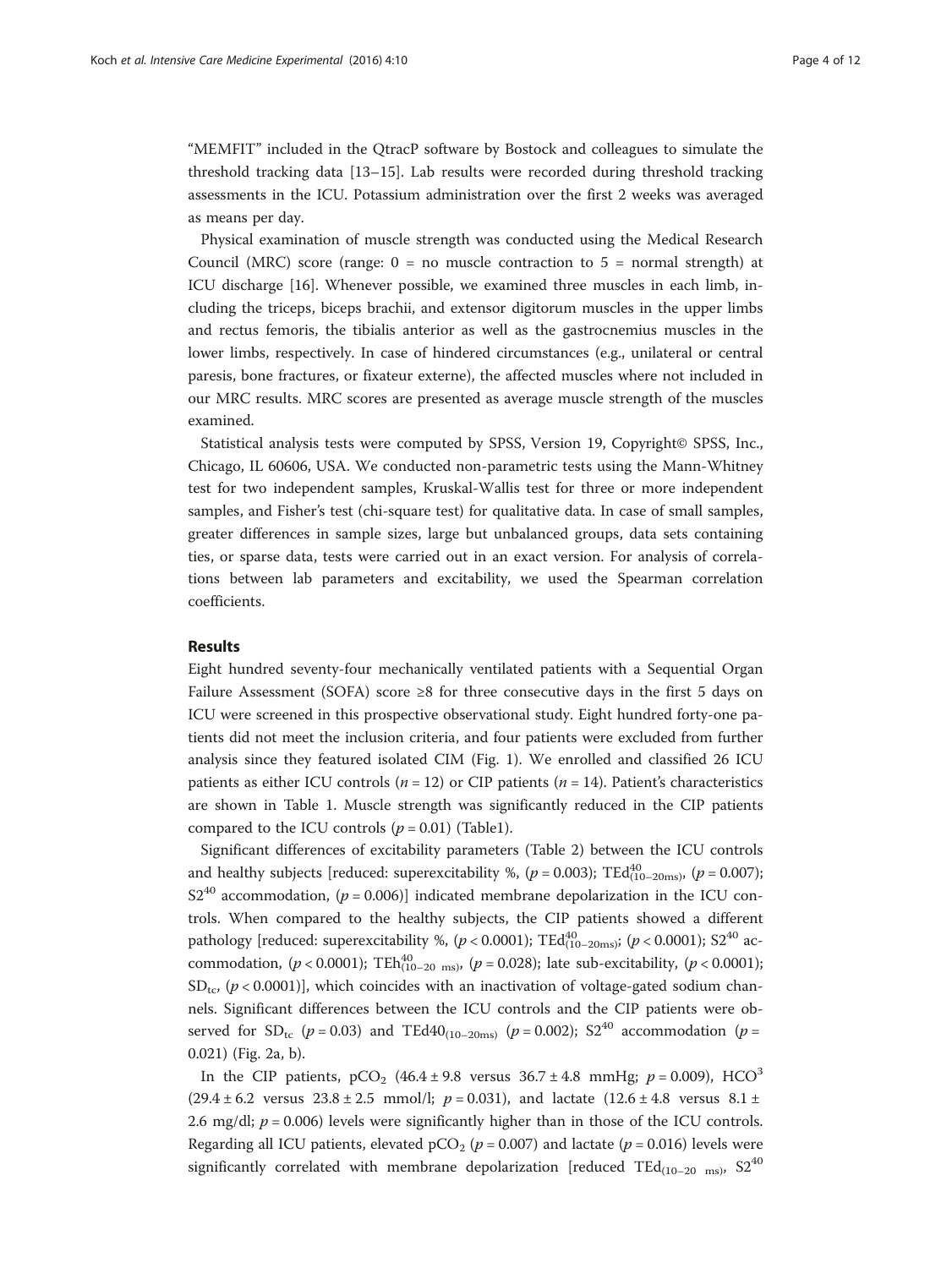"MEMFIT" included in the QtracP software by Bostock and colleagues to simulate the threshold tracking data [\[13](#page-10-0)–[15\]](#page-10-0). Lab results were recorded during threshold tracking assessments in the ICU. Potassium administration over the first 2 weeks was averaged as means per day.

Physical examination of muscle strength was conducted using the Medical Research Council (MRC) score (range:  $0 =$  no muscle contraction to  $5 =$  normal strength) at ICU discharge [\[16](#page-11-0)]. Whenever possible, we examined three muscles in each limb, including the triceps, biceps brachii, and extensor digitorum muscles in the upper limbs and rectus femoris, the tibialis anterior as well as the gastrocnemius muscles in the lower limbs, respectively. In case of hindered circumstances (e.g., unilateral or central paresis, bone fractures, or fixateur externe), the affected muscles where not included in our MRC results. MRC scores are presented as average muscle strength of the muscles examined.

Statistical analysis tests were computed by SPSS, Version 19, Copyright© SPSS, Inc., Chicago, IL 60606, USA. We conducted non-parametric tests using the Mann-Whitney test for two independent samples, Kruskal-Wallis test for three or more independent samples, and Fisher's test (chi-square test) for qualitative data. In case of small samples, greater differences in sample sizes, large but unbalanced groups, data sets containing ties, or sparse data, tests were carried out in an exact version. For analysis of correlations between lab parameters and excitability, we used the Spearman correlation coefficients.

## Results

Eight hundred seventy-four mechanically ventilated patients with a Sequential Organ Failure Assessment (SOFA) score ≥8 for three consecutive days in the first 5 days on ICU were screened in this prospective observational study. Eight hundred forty-one patients did not meet the inclusion criteria, and four patients were excluded from further analysis since they featured isolated CIM (Fig. [1\)](#page-4-0). We enrolled and classified 26 ICU patients as either ICU controls ( $n = 12$ ) or CIP patients ( $n = 14$ ). Patient's characteristics are shown in Table [1.](#page-4-0) Muscle strength was significantly reduced in the CIP patients compared to the ICU controls  $(p = 0.01)$  $(p = 0.01)$  (Table1).

Significant differences of excitability parameters (Table [2](#page-5-0)) between the ICU controls and healthy subjects [reduced: superexcitability %, ( $p = 0.003$ ); TEd $_{(10-20ms)}^{40}$ , ( $p = 0.007$ );  $S2^{40}$  accommodation, ( $p = 0.006$ )] indicated membrane depolarization in the ICU controls. When compared to the healthy subjects, the CIP patients showed a different pathology [reduced: superexcitability %, ( $p < 0.0001$ );  $\text{TEd}_{(10-20\text{ms})}^{40}$ ; ( $p < 0.0001$ );  $\text{S2}^{40}$  accommodation, ( $p < 0.0001$ ); TEh $_{(10-20 \text{ ms})}^{40}$ , ( $p = 0.028$ ); late sub-excitability, ( $p < 0.0001$ );  $SD_{\text{tc}}$ , ( $p < 0.0001$ ), which coincides with an inactivation of voltage-gated sodium channels. Significant differences between the ICU controls and the CIP patients were observed for  $SD_{tc}$  ( $p = 0.03$ ) and TEd40<sub>(10–20ms)</sub> ( $p = 0.002$ ); S2<sup>40</sup> accommodation ( $p =$ 0.021) (Fig. [2a](#page-7-0), [b\)](#page-7-0).

In the CIP patients, pCO<sub>2</sub> (46.4 ± 9.8 versus  $36.7 \pm 4.8$  mmHg; p = 0.009), HCO<sup>3</sup>  $(29.4 \pm 6.2 \text{ versus } 23.8 \pm 2.5 \text{ mmol/l}; p = 0.031)$ , and lactate  $(12.6 \pm 4.8 \text{ versus } 8.1 \pm 1.5 \text{ m})$ 2.6 mg/dl;  $p = 0.006$ ) levels were significantly higher than in those of the ICU controls. Regarding all ICU patients, elevated  $pCO_2$  ( $p = 0.007$ ) and lactate ( $p = 0.016$ ) levels were significantly correlated with membrane depolarization [reduced TEd<sub>(10–20 ms</sub>),  $S2^{40}$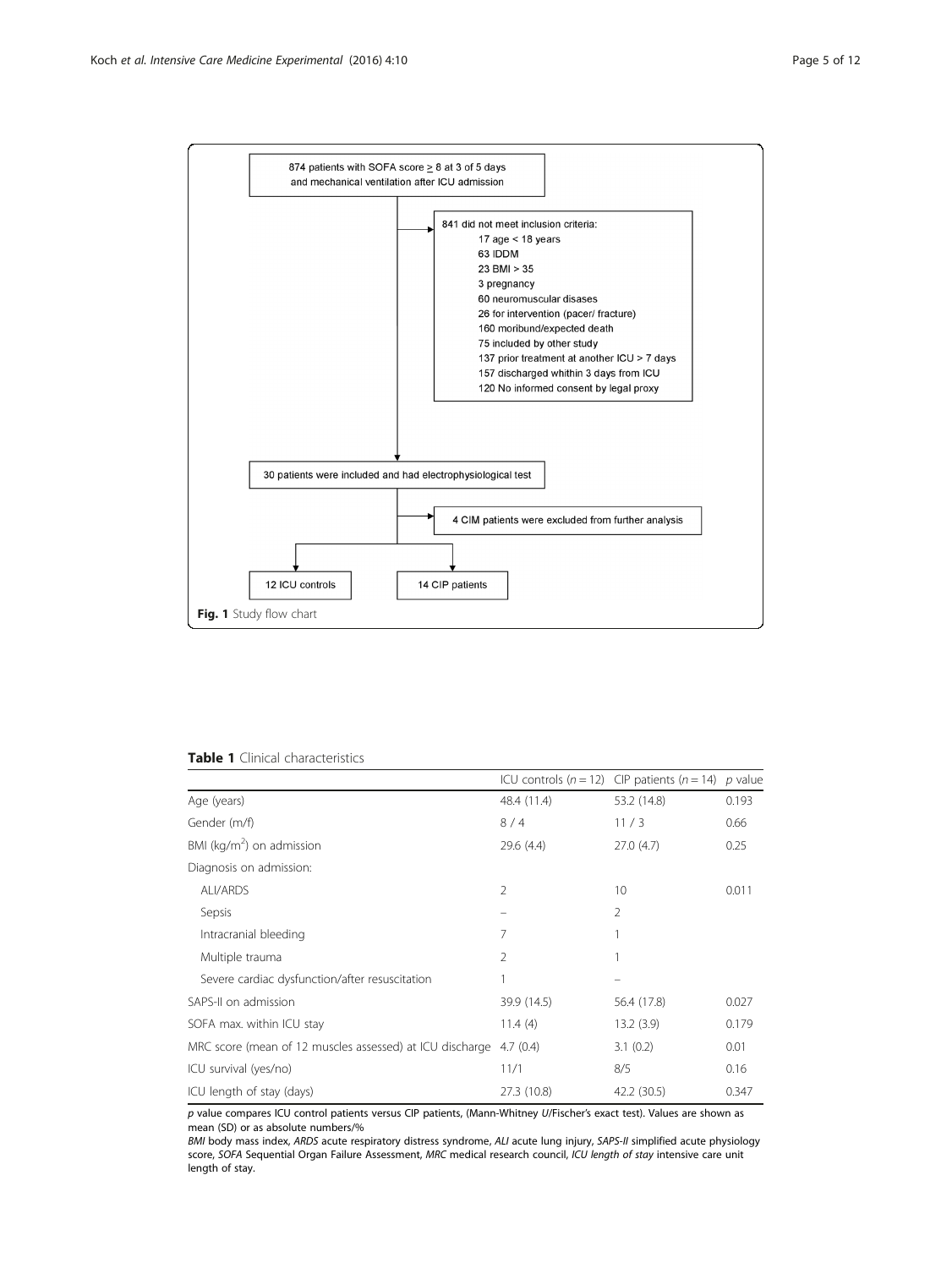<span id="page-4-0"></span>

| <b>Table 1</b> Clinical characteristics |  |
|-----------------------------------------|--|
|-----------------------------------------|--|

|                                                          |                | ICU controls ( $n = 12$ ) CIP patients ( $n = 14$ ) p value |       |
|----------------------------------------------------------|----------------|-------------------------------------------------------------|-------|
| Age (years)                                              | 48.4 (11.4)    | 53.2 (14.8)                                                 | 0.193 |
| Gender (m/f)                                             | 8/4            | 11/3                                                        | 0.66  |
| BMI ( $kg/m2$ ) on admission                             | 29.6(4.4)      | 27.0(4.7)                                                   | 0.25  |
| Diagnosis on admission:                                  |                |                                                             |       |
| ALI/ARDS                                                 | $\mathfrak{D}$ | 10                                                          | 0.011 |
| Sepsis                                                   |                | 2                                                           |       |
| Intracranial bleeding                                    | 7              |                                                             |       |
| Multiple trauma                                          | 2              |                                                             |       |
| Severe cardiac dysfunction/after resuscitation           |                |                                                             |       |
| SAPS-II on admission                                     | 39.9 (14.5)    | 56.4 (17.8)                                                 | 0.027 |
| SOFA max. within ICU stay                                | 11.4(4)        | 13.2(3.9)                                                   | 0.179 |
| MRC score (mean of 12 muscles assessed) at ICU discharge | 4.7(0.4)       | 3.1(0.2)                                                    | 0.01  |
| ICU survival (yes/no)                                    | 11/1           | 8/5                                                         | 0.16  |
| ICU length of stay (days)                                | 27.3 (10.8)    | 42.2 (30.5)                                                 | 0.347 |

p value compares ICU control patients versus CIP patients, (Mann-Whitney U/Fischer's exact test). Values are shown as mean (SD) or as absolute numbers/%

BMI body mass index, ARDS acute respiratory distress syndrome, ALI acute lung injury, SAPS-II simplified acute physiology score, SOFA Sequential Organ Failure Assessment, MRC medical research council, ICU length of stay intensive care unit length of stay.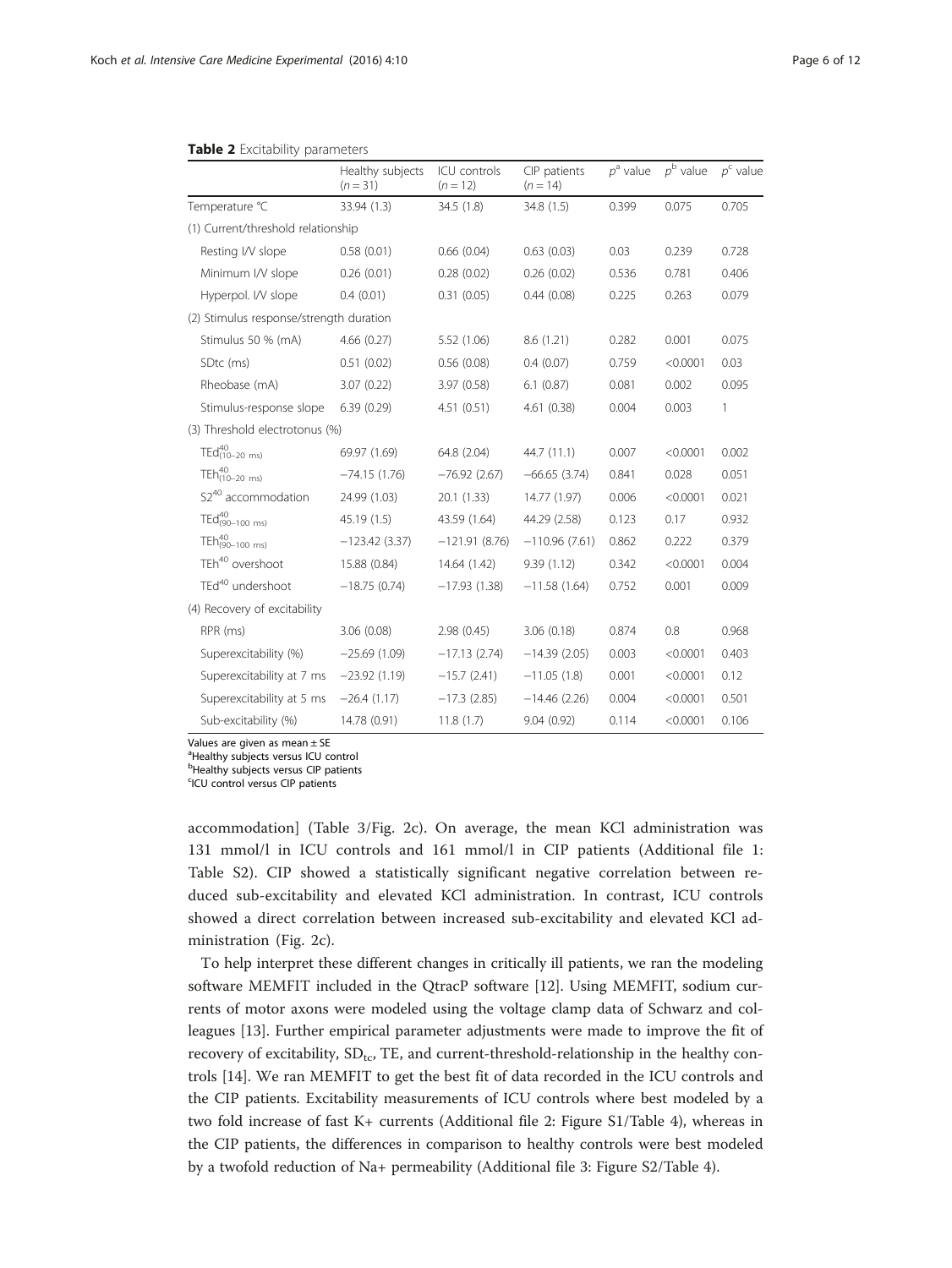|                                         | Healthy subjects<br>$(n = 31)$ | ICU controls<br>$(n = 12)$ | CIP patients<br>$(n = 14)$ | $p^a$ value | $p^{\rm b}$ value | $p^c$ value |
|-----------------------------------------|--------------------------------|----------------------------|----------------------------|-------------|-------------------|-------------|
| Temperature °C                          | 33.94 (1.3)                    | 34.5(1.8)                  | 34.8(1.5)                  | 0.399       | 0.075             | 0.705       |
| (1) Current/threshold relationship      |                                |                            |                            |             |                   |             |
| Resting I/V slope                       | 0.58(0.01)                     | 0.66(0.04)                 | 0.63(0.03)                 | 0.03        | 0.239             | 0.728       |
| Minimum I/V slope                       | 0.26(0.01)                     | 0.28(0.02)                 | 0.26(0.02)                 | 0.536       | 0.781             | 0.406       |
| Hyperpol. I/V slope                     | 0.4(0.01)                      | 0.31(0.05)                 | 0.44(0.08)                 | 0.225       | 0.263             | 0.079       |
| (2) Stimulus response/strength duration |                                |                            |                            |             |                   |             |
| Stimulus 50 % (mA)                      | 4.66(0.27)                     | 5.52 (1.06)                | 8.6(1.21)                  | 0.282       | 0.001             | 0.075       |
| SD <sub>tc</sub> (ms)                   | 0.51(0.02)                     | 0.56(0.08)                 | 0.4(0.07)                  | 0.759       | < 0.0001          | 0.03        |
| Rheobase (mA)                           | 3.07(0.22)                     | 3.97(0.58)                 | 6.1(0.87)                  | 0.081       | 0.002             | 0.095       |
| Stimulus-response slope                 | 6.39(0.29)                     | 4.51(0.51)                 | 4.61(0.38)                 | 0.004       | 0.003             | 1           |
| (3) Threshold electrotonus (%)          |                                |                            |                            |             |                   |             |
| $TEd_{(10-20 \text{ ms})}^{40}$         | 69.97 (1.69)                   | 64.8 (2.04)                | 44.7 (11.1)                | 0.007       | < 0.0001          | 0.002       |
| TE $h_{(10-20 \text{ ms})}^{40}$        | $-74.15(1.76)$                 | $-76.92(2.67)$             | $-66.65(3.74)$             | 0.841       | 0.028             | 0.051       |
| S2 <sup>40</sup> accommodation          | 24.99 (1.03)                   | 20.1(1.33)                 | 14.77 (1.97)               | 0.006       | < 0.0001          | 0.021       |
| TEd(90-100 ms)                          | 45.19 (1.5)                    | 43.59 (1.64)               | 44.29 (2.58)               | 0.123       | 0.17              | 0.932       |
| $T Eh^{40}_{(90-100 \text{ ms})}$       | $-123.42(3.37)$                | $-121.91(8.76)$            | $-110.96(7.61)$            | 0.862       | 0.222             | 0.379       |
| TEh <sup>40</sup> overshoot             | 15.88 (0.84)                   | 14.64 (1.42)               | 9.39(1.12)                 | 0.342       | < 0.0001          | 0.004       |
| TEd <sup>40</sup> undershoot            | $-18.75(0.74)$                 | $-17.93(1.38)$             | $-11.58(1.64)$             | 0.752       | 0.001             | 0.009       |
| (4) Recovery of excitability            |                                |                            |                            |             |                   |             |
| RPR (ms)                                | 3.06(0.08)                     | 2.98(0.45)                 | 3.06(0.18)                 | 0.874       | 0.8               | 0.968       |
| Superexcitability (%)                   | $-25.69(1.09)$                 | $-17.13(2.74)$             | $-14.39(2.05)$             | 0.003       | < 0.0001          | 0.403       |
| Superexcitability at 7 ms               | $-23.92(1.19)$                 | $-15.7(2.41)$              | $-11.05(1.8)$              | 0.001       | < 0.0001          | 0.12        |
| Superexcitability at 5 ms               | $-26.4(1.17)$                  | $-17.3$ (2.85)             | $-14.46(2.26)$             | 0.004       | < 0.0001          | 0.501       |
| Sub-excitability (%)                    | 14.78 (0.91)                   | 11.8(1.7)                  | 9.04(0.92)                 | 0.114       | < 0.0001          | 0.106       |

#### <span id="page-5-0"></span>Table 2 Excitability parameters

Values are given as mean  $\pm$  SE

<sup>a</sup>Healthy subjects versus ICU control

**bHealthy subjects versus CIP patients** 

<sup>c</sup>ICU control versus CIP patients

accommodation] (Table [3/](#page-7-0)Fig. [2c\)](#page-7-0). On average, the mean KCl administration was 131 mmol/l in ICU controls and 161 mmol/l in CIP patients (Additional file [1](#page-9-0): Table S2). CIP showed a statistically significant negative correlation between reduced sub-excitability and elevated KCl administration. In contrast, ICU controls showed a direct correlation between increased sub-excitability and elevated KCl administration (Fig. [2c](#page-7-0)).

To help interpret these different changes in critically ill patients, we ran the modeling software MEMFIT included in the QtracP software [[12](#page-10-0)]. Using MEMFIT, sodium currents of motor axons were modeled using the voltage clamp data of Schwarz and colleagues [[13\]](#page-10-0). Further empirical parameter adjustments were made to improve the fit of recovery of excitability,  $SD_{tc}$ , TE, and current-threshold-relationship in the healthy controls [\[14\]](#page-10-0). We ran MEMFIT to get the best fit of data recorded in the ICU controls and the CIP patients. Excitability measurements of ICU controls where best modeled by a two fold increase of fast K+ currents (Additional file [2](#page-9-0): Figure S1/Table [4](#page-8-0)), whereas in the CIP patients, the differences in comparison to healthy controls were best modeled by a twofold reduction of Na+ permeability (Additional file [3:](#page-10-0) Figure S2/Table [4](#page-8-0)).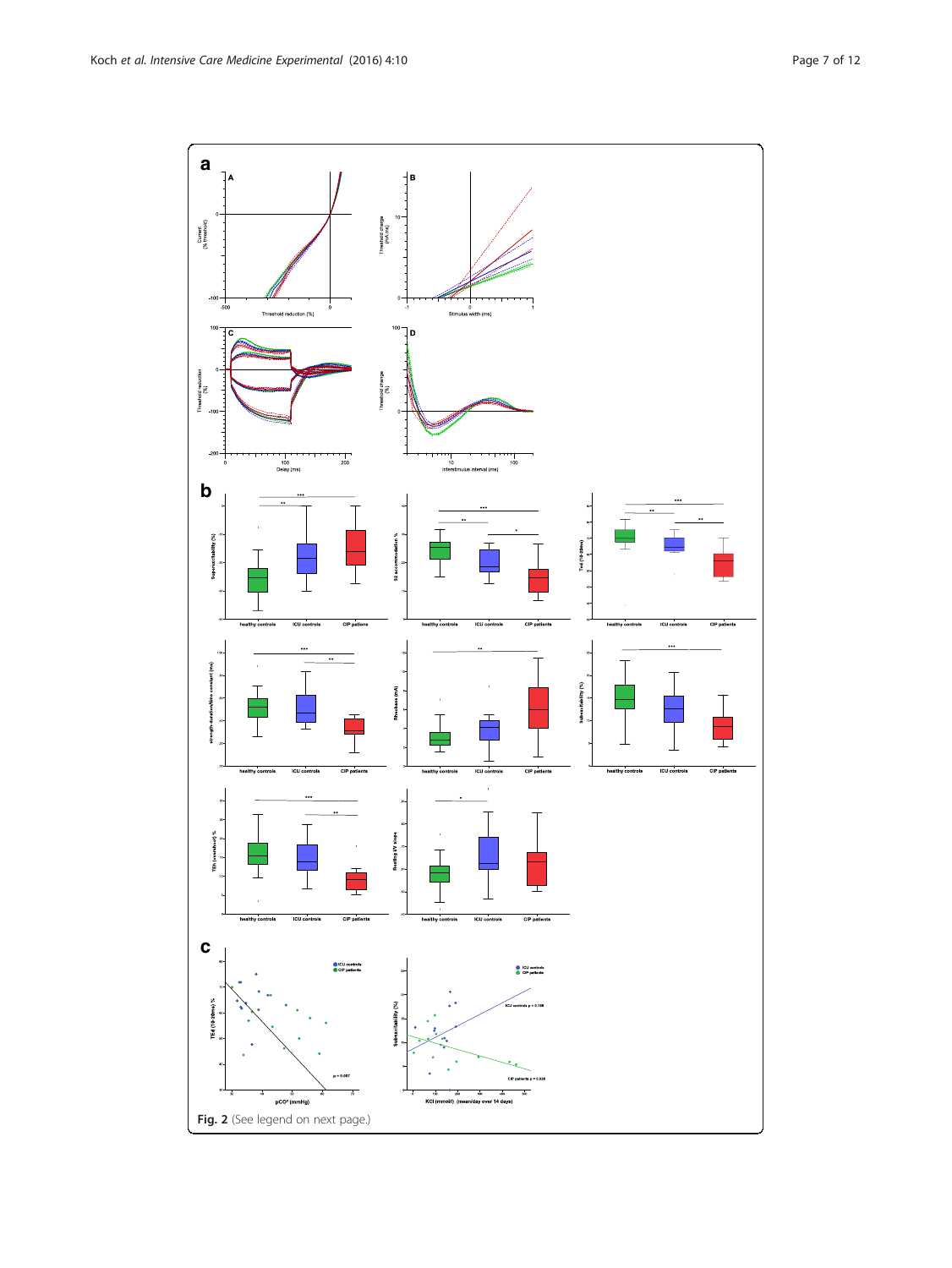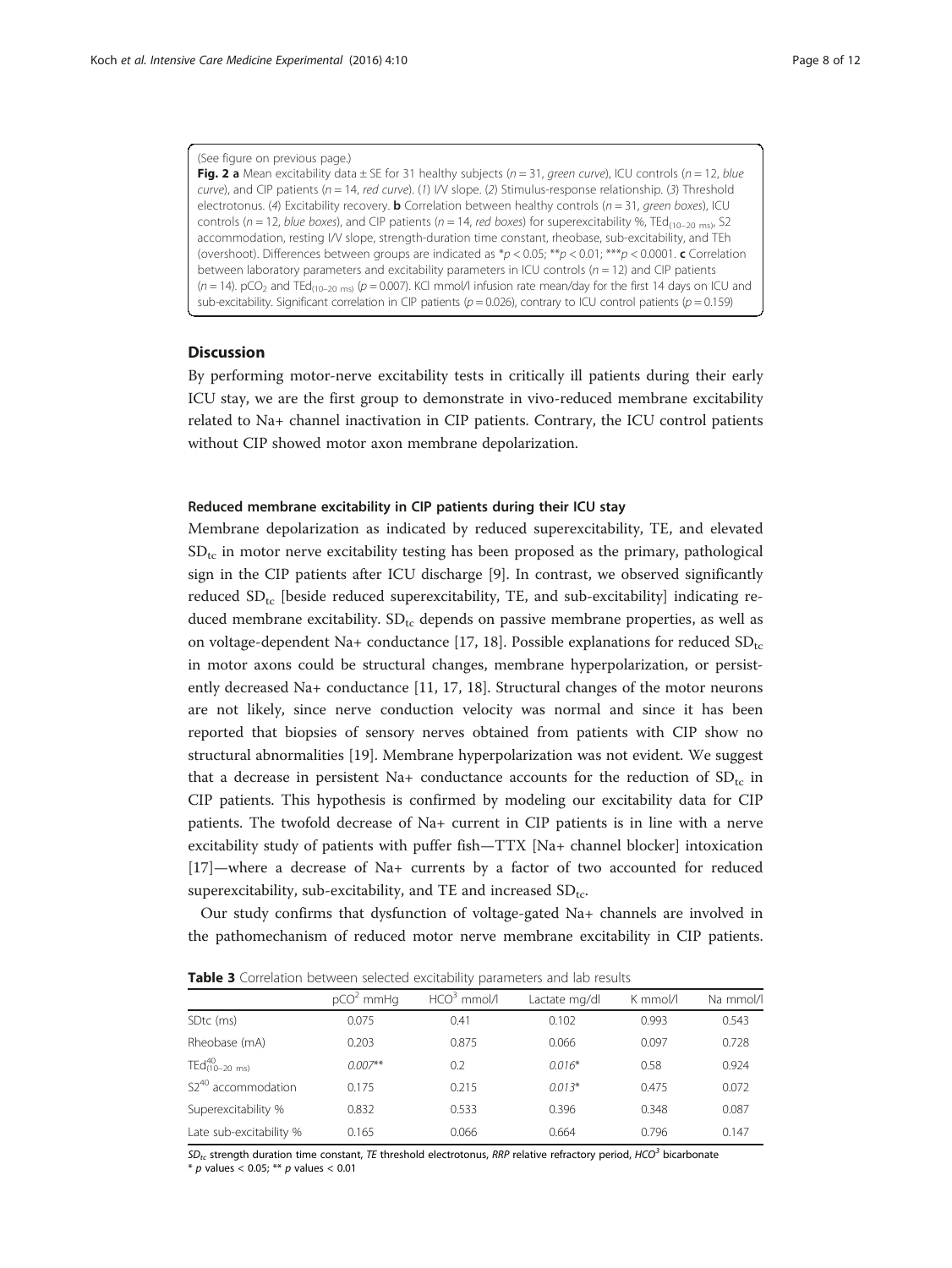#### <span id="page-7-0"></span>(See figure on previous page.)

Fig. 2 a Mean excitability data  $\pm$  SE for 31 healthy subjects (n = 31, green curve), ICU controls (n = 12, blue curve), and CIP patients ( $n = 14$ , red curve). (1) I/V slope. (2) Stimulus-response relationship. (3) Threshold electrotonus. (4) Excitability recovery. **b** Correlation between healthy controls ( $n = 31$ , green boxes), ICU controls ( $n = 12$ , blue boxes), and CIP patients ( $n = 14$ , red boxes) for superexcitability %, TEd<sub>(10-20 ms)</sub>, S2 accommodation, resting I/V slope, strength-duration time constant, rheobase, sub-excitability, and TEh (overshoot). Differences between groups are indicated as  $p < 0.05$ ; \*\*p < 0.01; \*\*\*p < 0.0001. c Correlation between laboratory parameters and excitability parameters in ICU controls ( $n = 12$ ) and CIP patients  $(n = 14)$ . pCO<sub>2</sub> and TEd<sub>(10-20 ms)</sub> ( $p = 0.007$ ). KCl mmol/l infusion rate mean/day for the first 14 days on ICU and sub-excitability. Significant correlation in CIP patients ( $p = 0.026$ ), contrary to ICU control patients ( $p = 0.159$ )

## **Discussion**

By performing motor-nerve excitability tests in critically ill patients during their early ICU stay, we are the first group to demonstrate in vivo-reduced membrane excitability related to Na+ channel inactivation in CIP patients. Contrary, the ICU control patients without CIP showed motor axon membrane depolarization.

#### Reduced membrane excitability in CIP patients during their ICU stay

Membrane depolarization as indicated by reduced superexcitability, TE, and elevated  $SD_{tc}$  in motor nerve excitability testing has been proposed as the primary, pathological sign in the CIP patients after ICU discharge [[9\]](#page-10-0). In contrast, we observed significantly reduced  $SD_{tc}$  [beside reduced superexcitability, TE, and sub-excitability] indicating reduced membrane excitability.  $SD_{tc}$  depends on passive membrane properties, as well as on voltage-dependent Na+ conductance [\[17](#page-11-0), [18\]](#page-11-0). Possible explanations for reduced  $SD_{tc}$ in motor axons could be structural changes, membrane hyperpolarization, or persistently decreased Na+ conductance [\[11,](#page-10-0) [17, 18\]](#page-11-0). Structural changes of the motor neurons are not likely, since nerve conduction velocity was normal and since it has been reported that biopsies of sensory nerves obtained from patients with CIP show no structural abnormalities [\[19](#page-11-0)]. Membrane hyperpolarization was not evident. We suggest that a decrease in persistent Na+ conductance accounts for the reduction of  $SD_{tc}$  in CIP patients. This hypothesis is confirmed by modeling our excitability data for CIP patients. The twofold decrease of Na+ current in CIP patients is in line with a nerve excitability study of patients with puffer fish—TTX [Na+ channel blocker] intoxication [[17\]](#page-11-0)—where a decrease of Na+ currents by a factor of two accounted for reduced superexcitability, sub-excitability, and TE and increased  $SD_{tc}$ .

Our study confirms that dysfunction of voltage-gated Na+ channels are involved in the pathomechanism of reduced motor nerve membrane excitability in CIP patients.

| Table 3 Correlation between selected excitability parameters and lab results |  |  |  |
|------------------------------------------------------------------------------|--|--|--|
|------------------------------------------------------------------------------|--|--|--|

|                                 | $pCO2$ mmHg | $HCO3$ mmol/l | Lactate mg/dl | K mmol/l | Na mmol/l |
|---------------------------------|-------------|---------------|---------------|----------|-----------|
| SD <sub>tc</sub> (ms)           | 0.075       | 0.41          | 0.102         | 0.993    | 0.543     |
| Rheobase (mA)                   | 0.203       | 0.875         | 0.066         | 0.097    | 0.728     |
| $TEd_{(10-20 \text{ ms})}^{40}$ | $0.007**$   | 0.2           | $0.016*$      | 0.58     | 0.924     |
| S2 <sup>40</sup> accommodation  | 0.175       | 0.215         | $0.013*$      | 0.475    | 0.072     |
| Superexcitability %             | 0.832       | 0.533         | 0.396         | 0.348    | 0.087     |
| Late sub-excitability %         | 0.165       | 0.066         | 0.664         | 0.796    | 0.147     |
|                                 |             |               |               |          |           |

 $SD_{tr}$  strength duration time constant, TE threshold electrotonus, RRP relative refractory period, HCO<sup>3</sup> bicarbonate

 $*$  p values < 0.05; \*\* p values < 0.01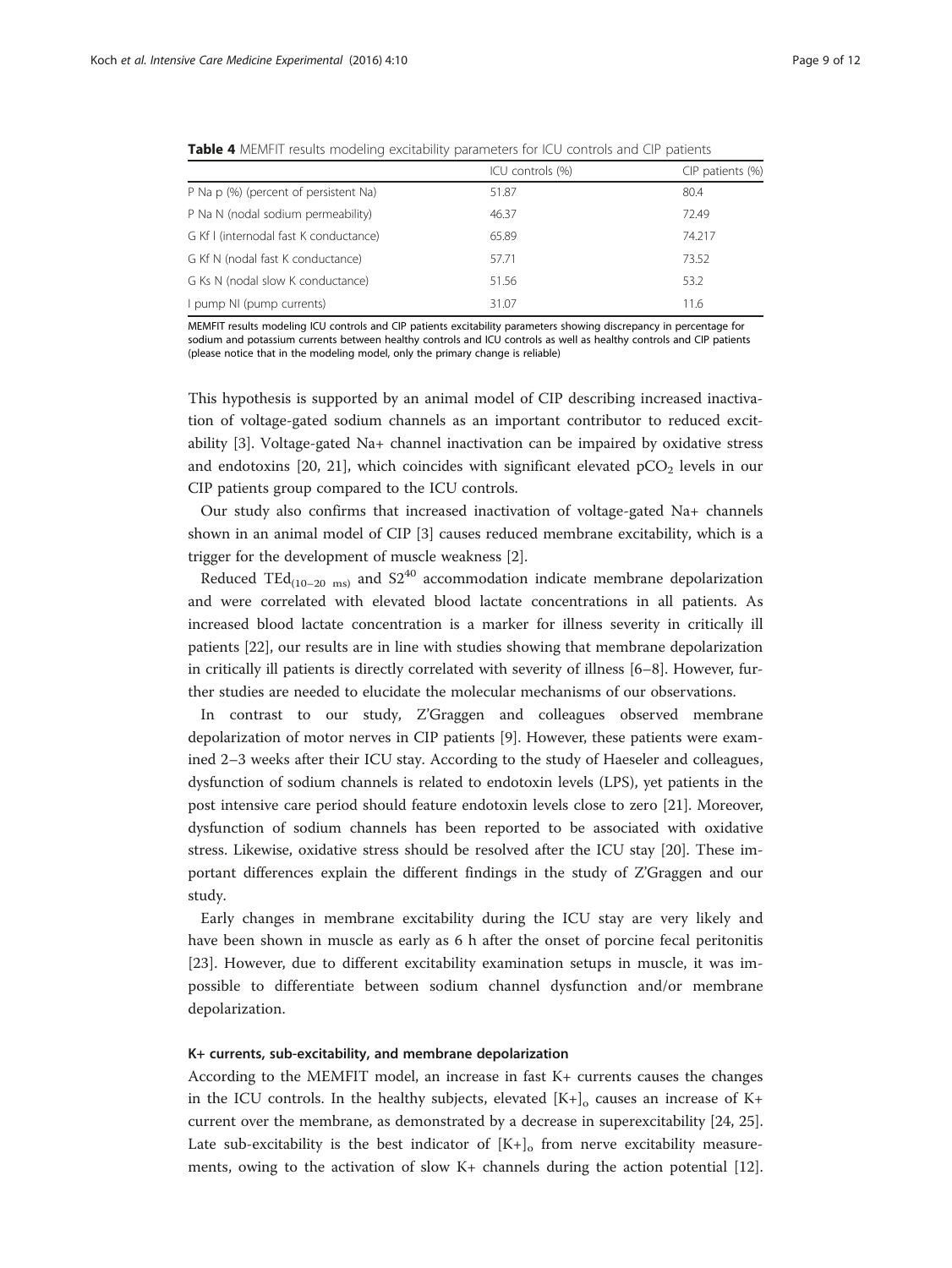<span id="page-8-0"></span>

|  | <b>Table 4</b> MEMFIT results modeling excitability parameters for ICU controls and CIP patients |  |  |  |
|--|--------------------------------------------------------------------------------------------------|--|--|--|
|  |                                                                                                  |  |  |  |

|                                        | ICU controls (%) | CIP patients (%) |
|----------------------------------------|------------------|------------------|
| P Na p (%) (percent of persistent Na)  | 51.87            | 80.4             |
| P Na N (nodal sodium permeability)     | 46.37            | 72.49            |
| G Kf I (internodal fast K conductance) | 65.89            | 74.217           |
| G Kf N (nodal fast K conductance)      | 57.71            | 73.52            |
| G Ks N (nodal slow K conductance)      | 51.56            | 53.2             |
| I pump NI (pump currents)              | 31.07            | 11.6             |

MEMFIT results modeling ICU controls and CIP patients excitability parameters showing discrepancy in percentage for sodium and potassium currents between healthy controls and ICU controls as well as healthy controls and CIP patients (please notice that in the modeling model, only the primary change is reliable)

This hypothesis is supported by an animal model of CIP describing increased inactivation of voltage-gated sodium channels as an important contributor to reduced excitability [\[3](#page-10-0)]. Voltage-gated Na+ channel inactivation can be impaired by oxidative stress and endotoxins [[20](#page-11-0), [21](#page-11-0)], which coincides with significant elevated  $pCO<sub>2</sub>$  levels in our CIP patients group compared to the ICU controls.

Our study also confirms that increased inactivation of voltage-gated Na+ channels shown in an animal model of CIP [[3\]](#page-10-0) causes reduced membrane excitability, which is a trigger for the development of muscle weakness [\[2\]](#page-10-0).

Reduced TEd<sub>(10–20 ms)</sub> and  $S2^{40}$  accommodation indicate membrane depolarization and were correlated with elevated blood lactate concentrations in all patients. As increased blood lactate concentration is a marker for illness severity in critically ill patients [[22\]](#page-11-0), our results are in line with studies showing that membrane depolarization in critically ill patients is directly correlated with severity of illness [\[6](#page-10-0)–[8\]](#page-10-0). However, further studies are needed to elucidate the molecular mechanisms of our observations.

In contrast to our study, Z'Graggen and colleagues observed membrane depolarization of motor nerves in CIP patients [[9\]](#page-10-0). However, these patients were examined 2–3 weeks after their ICU stay. According to the study of Haeseler and colleagues, dysfunction of sodium channels is related to endotoxin levels (LPS), yet patients in the post intensive care period should feature endotoxin levels close to zero [[21\]](#page-11-0). Moreover, dysfunction of sodium channels has been reported to be associated with oxidative stress. Likewise, oxidative stress should be resolved after the ICU stay [[20](#page-11-0)]. These important differences explain the different findings in the study of Z'Graggen and our study.

Early changes in membrane excitability during the ICU stay are very likely and have been shown in muscle as early as 6 h after the onset of porcine fecal peritonitis [[23\]](#page-11-0). However, due to different excitability examination setups in muscle, it was impossible to differentiate between sodium channel dysfunction and/or membrane depolarization.

## K+ currents, sub-excitability, and membrane depolarization

According to the MEMFIT model, an increase in fast K+ currents causes the changes in the ICU controls. In the healthy subjects, elevated  $[K+]_0$  causes an increase of K+ current over the membrane, as demonstrated by a decrease in superexcitability [[24](#page-11-0), [25](#page-11-0)]. Late sub-excitability is the best indicator of  $[K+]_0$  from nerve excitability measurements, owing to the activation of slow K+ channels during the action potential [[12](#page-10-0)].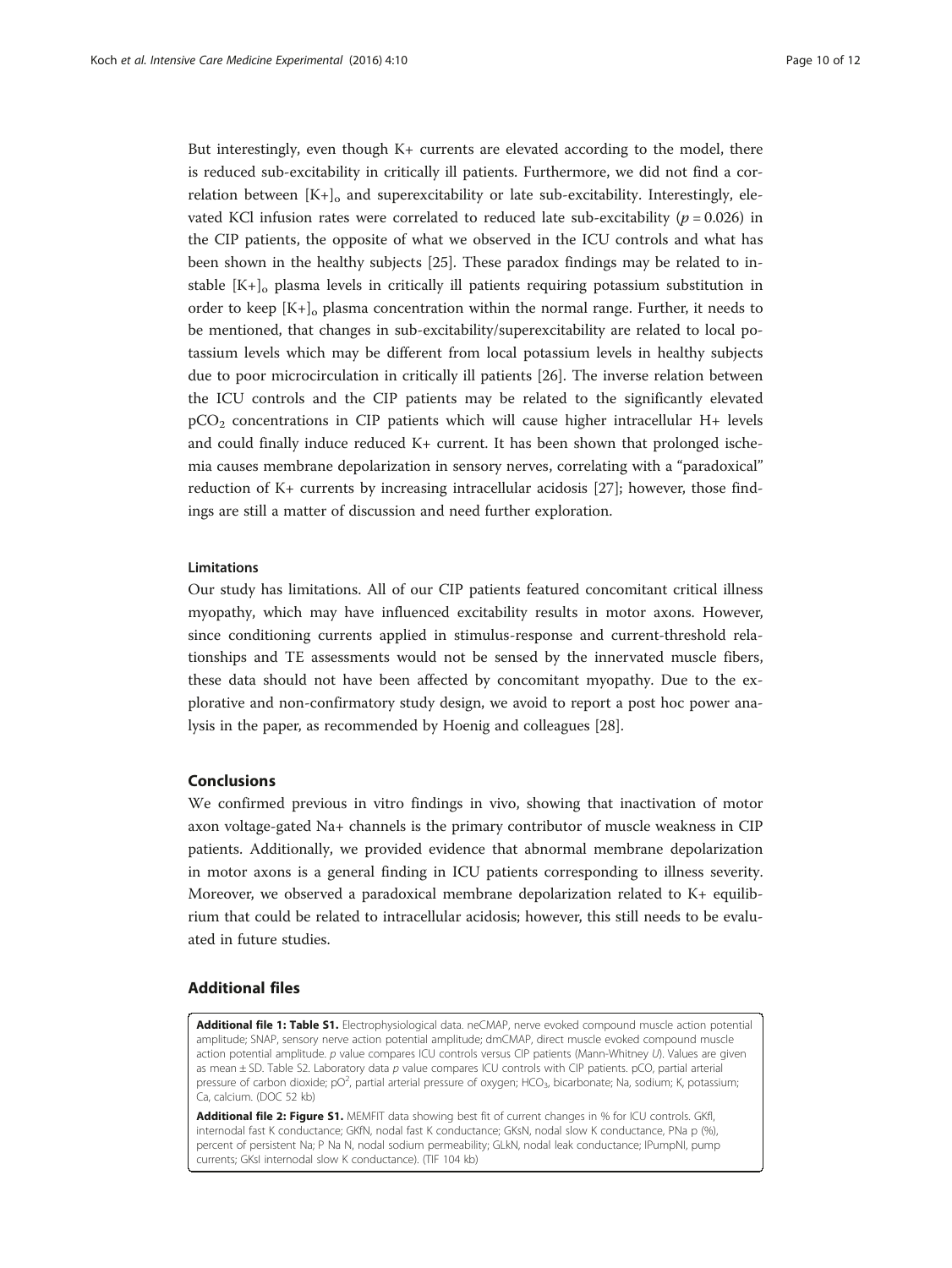<span id="page-9-0"></span>But interestingly, even though K+ currents are elevated according to the model, there is reduced sub-excitability in critically ill patients. Furthermore, we did not find a correlation between  $[K+]_0$  and superexcitability or late sub-excitability. Interestingly, elevated KCl infusion rates were correlated to reduced late sub-excitability ( $p = 0.026$ ) in the CIP patients, the opposite of what we observed in the ICU controls and what has been shown in the healthy subjects [[25](#page-11-0)]. These paradox findings may be related to instable  $[K+]_o$  plasma levels in critically ill patients requiring potassium substitution in order to keep  $[K+]_o$  plasma concentration within the normal range. Further, it needs to be mentioned, that changes in sub-excitability/superexcitability are related to local potassium levels which may be different from local potassium levels in healthy subjects due to poor microcirculation in critically ill patients [\[26](#page-11-0)]. The inverse relation between the ICU controls and the CIP patients may be related to the significantly elevated pCO2 concentrations in CIP patients which will cause higher intracellular H+ levels and could finally induce reduced K+ current. It has been shown that prolonged ischemia causes membrane depolarization in sensory nerves, correlating with a "paradoxical" reduction of K+ currents by increasing intracellular acidosis [[27](#page-11-0)]; however, those findings are still a matter of discussion and need further exploration.

## Limitations

Our study has limitations. All of our CIP patients featured concomitant critical illness myopathy, which may have influenced excitability results in motor axons. However, since conditioning currents applied in stimulus-response and current-threshold relationships and TE assessments would not be sensed by the innervated muscle fibers, these data should not have been affected by concomitant myopathy. Due to the explorative and non-confirmatory study design, we avoid to report a post hoc power analysis in the paper, as recommended by Hoenig and colleagues [\[28](#page-11-0)].

## Conclusions

We confirmed previous in vitro findings in vivo, showing that inactivation of motor axon voltage-gated Na+ channels is the primary contributor of muscle weakness in CIP patients. Additionally, we provided evidence that abnormal membrane depolarization in motor axons is a general finding in ICU patients corresponding to illness severity. Moreover, we observed a paradoxical membrane depolarization related to K+ equilibrium that could be related to intracellular acidosis; however, this still needs to be evaluated in future studies.

## Additional files

[Additional file 1: Table S1.](dx.doi.org/10.1186/s40635-016-0083-4) Electrophysiological data. neCMAP, nerve evoked compound muscle action potential amplitude; SNAP, sensory nerve action potential amplitude; dmCMAP, direct muscle evoked compound muscle action potential amplitude. p value compares ICU controls versus CIP patients (Mann-Whitney U). Values are given as mean ± SD. Table S2. Laboratory data p value compares ICU controls with CIP patients. pCO, partial arterial pressure of carbon dioxide; pO<sup>2</sup>, partial arterial pressure of oxygen; HCO<sub>3</sub>, bicarbonate; Na, sodium; K, potassium Ca, calcium. (DOC 52 kb)

[Additional file 2: Figure S1.](dx.doi.org/10.1186/s40635-016-0083-4) MEMFIT data showing best fit of current changes in % for ICU controls. GKfl, internodal fast K conductance; GKfN, nodal fast K conductance; GKsN, nodal slow K conductance, PNa p (%), percent of persistent Na; P Na N, nodal sodium permeability; GLkN, nodal leak conductance; IPumpNI, pump currents; GKsI internodal slow K conductance). (TIF 104 kb)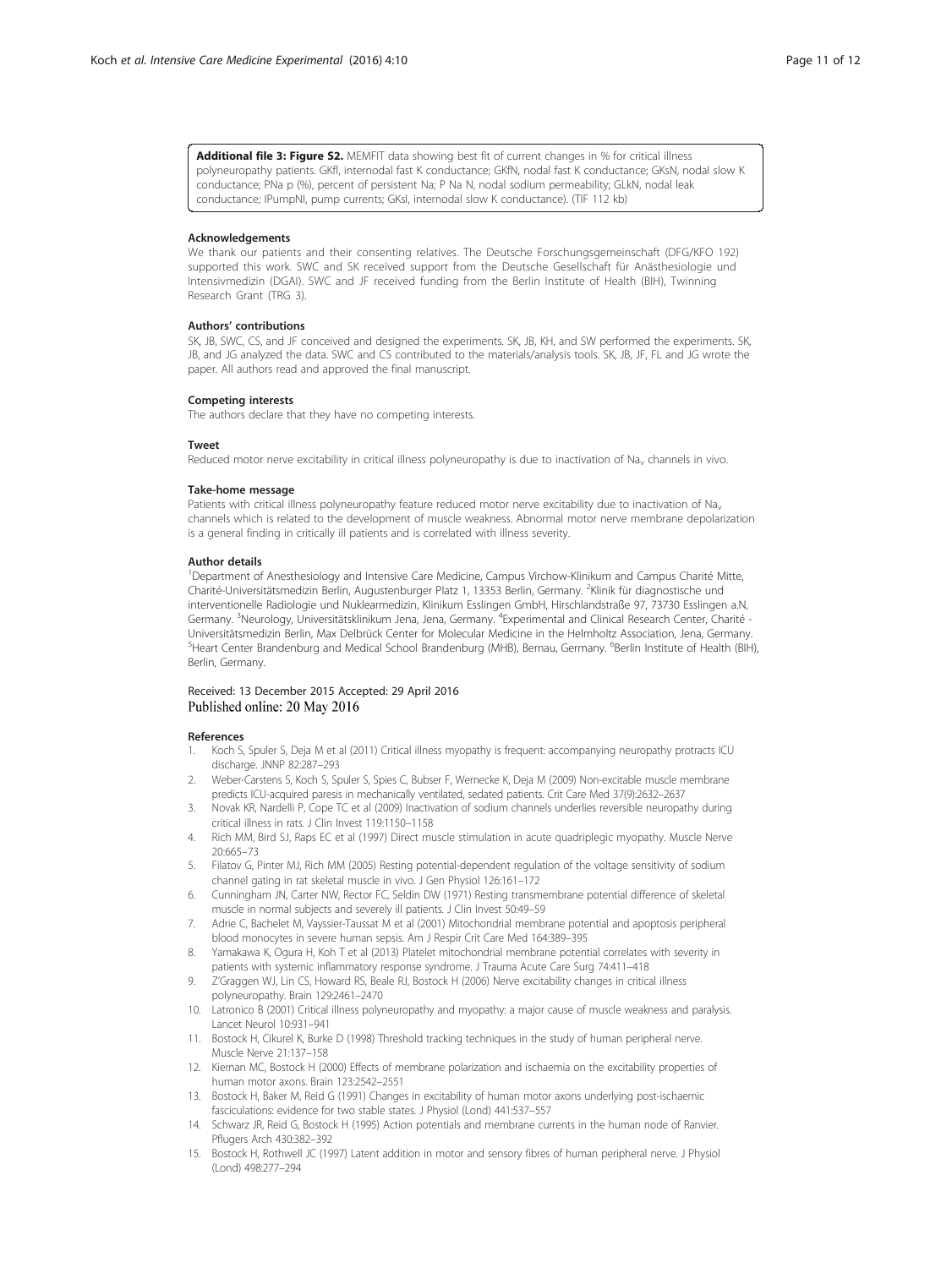<span id="page-10-0"></span>[Additional file 3: Figure S2.](dx.doi.org/10.1186/s40635-016-0083-4) MEMFIT data showing best fit of current changes in % for critical illness polyneuropathy patients. GKfl, internodal fast K conductance; GKfN, nodal fast K conductance; GKsN, nodal slow K conductance; PNa p (%), percent of persistent Na; P Na N, nodal sodium permeability; GLkN, nodal leak conductance; IPumpNI, pump currents; GKsI, internodal slow K conductance). (TIF 112 kb)

#### Acknowledgements

We thank our patients and their consenting relatives. The Deutsche Forschungsgemeinschaft (DFG/KFO 192) supported this work. SWC and SK received support from the Deutsche Gesellschaft für Anästhesiologie und Intensivmedizin (DGAI). SWC and JF received funding from the Berlin Institute of Health (BIH), Twinning Research Grant (TRG 3).

#### Authors' contributions

SK, JB, SWC, CS, and JF conceived and designed the experiments. SK, JB, KH, and SW performed the experiments. SK, JB, and JG analyzed the data. SWC and CS contributed to the materials/analysis tools. SK, JB, JF, FL and JG wrote the paper. All authors read and approved the final manuscript.

#### Competing interests

The authors declare that they have no competing interests.

#### Tweet

Reduced motor nerve excitability in critical illness polyneuropathy is due to inactivation of Na<sub>v</sub> channels in vivo.

#### Take-home message

Patients with critical illness polyneuropathy feature reduced motor nerve excitability due to inactivation of Na<sub>v</sub> channels which is related to the development of muscle weakness. Abnormal motor nerve membrane depolarization is a general finding in critically ill patients and is correlated with illness severity.

#### Author details

1 Department of Anesthesiology and Intensive Care Medicine, Campus Virchow-Klinikum and Campus Charité Mitte, Charité-Universitätsmedizin Berlin, Augustenburger Platz 1, 13353 Berlin, Germany. <sup>2</sup>Klinik für diagnostische und interventionelle Radiologie und Nuklearmedizin, Klinikum Esslingen GmbH, Hirschlandstraße 97, 73730 Esslingen a.N, Germany. <sup>3</sup>Neurology, Universitätsklinikum Jena, Jena, Germany. <sup>4</sup>Experimental and Clinical Research Center, Charité -Universitätsmedizin Berlin, Max Delbrück Center for Molecular Medicine in the Helmholtz Association, Jena, Germany. <sup>5</sup>Heart Center Brandenburg and Medical School Brandenburg (MHB), Bernau, Germany. <sup>6</sup>Berlin Institute of Health (BIH), Berlin, Germany.

## Received: 13 December 2015 Accepted: 29 April 2016 Published online: 20 May 2016

#### References

- 1. Koch S, Spuler S, Deja M et al (2011) Critical illness myopathy is frequent: accompanying neuropathy protracts ICU discharge. JNNP 82:287–293
- 2. Weber-Carstens S, Koch S, Spuler S, Spies C, Bubser F, Wernecke K, Deja M (2009) Non-excitable muscle membrane predicts ICU-acquired paresis in mechanically ventilated, sedated patients. Crit Care Med 37(9):2632–2637
- 3. Novak KR, Nardelli P, Cope TC et al (2009) Inactivation of sodium channels underlies reversible neuropathy during critical illness in rats. J Clin Invest 119:1150–1158
- 4. Rich MM, Bird SJ, Raps EC et al (1997) Direct muscle stimulation in acute quadriplegic myopathy. Muscle Nerve 20:665–73
- 5. Filatov G, Pinter MJ, Rich MM (2005) Resting potential-dependent regulation of the voltage sensitivity of sodium channel gating in rat skeletal muscle in vivo. J Gen Physiol 126:161–172
- 6. Cunningham JN, Carter NW, Rector FC, Seldin DW (1971) Resting transmembrane potential difference of skeletal muscle in normal subjects and severely ill patients. J Clin Invest 50:49–59
- 7. Adrie C, Bachelet M, Vayssier-Taussat M et al (2001) Mitochondrial membrane potential and apoptosis peripheral blood monocytes in severe human sepsis. Am J Respir Crit Care Med 164:389–395
- 8. Yamakawa K, Ogura H, Koh T et al (2013) Platelet mitochondrial membrane potential correlates with severity in patients with systemic inflammatory response syndrome. J Trauma Acute Care Surg 74:411–418
- 9. Z'Graggen WJ, Lin CS, Howard RS, Beale RJ, Bostock H (2006) Nerve excitability changes in critical illness polyneuropathy. Brain 129:2461–2470
- 10. Latronico B (2001) Critical illness polyneuropathy and myopathy: a major cause of muscle weakness and paralysis. Lancet Neurol 10:931–941
- 11. Bostock H, Cikurel K, Burke D (1998) Threshold tracking techniques in the study of human peripheral nerve. Muscle Nerve 21:137–158
- 12. Kiernan MC, Bostock H (2000) Effects of membrane polarization and ischaemia on the excitability properties of human motor axons. Brain 123:2542–2551
- 13. Bostock H, Baker M, Reid G (1991) Changes in excitability of human motor axons underlying post-ischaemic fasciculations: evidence for two stable states. J Physiol (Lond) 441:537–557
- 14. Schwarz JR, Reid G, Bostock H (1995) Action potentials and membrane currents in the human node of Ranvier. Pflugers Arch 430:382–392
- 15. Bostock H, Rothwell JC (1997) Latent addition in motor and sensory fibres of human peripheral nerve. J Physiol (Lond) 498:277–294